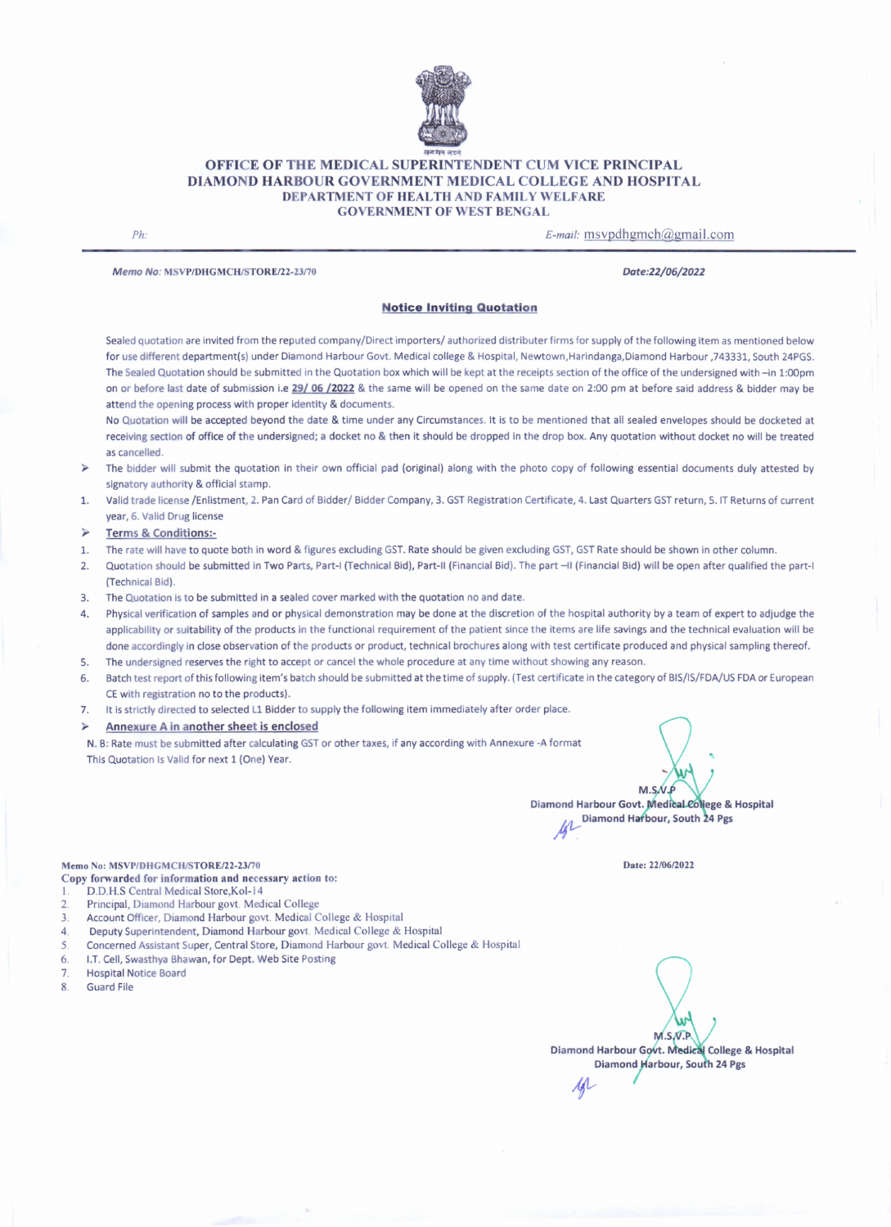

### OFFICE OF THE MEDICAL SUPERINTENDENT CUM VICE PRINCIPAL DIAMOND HARBOUR GOVERNMENT MEDICAL COLLEGE AND HOSPITAL DEPARTMENT OF HEALTH AND FAMILY WELFARE GOVERNMENT OF WEST BENGAL

*Ph: E-mail:* msvpdhgmch@gmail.com

*Memo No:* MSVPfDHGMCH/STORE/22-23170 *Dote:22/06/2022*

#### Notice Inviting Quotation

Sealed quotation are invited from the reputed company/Direct importers/ authorized distributer firms for supply of the following item as mentioned below for usedifferent department(s) under Diamond Harbour Govt. Medical college & Hospital, Newtown,Harindanga,Diamond Harbour ,743331, South 24PGS. The Sealed Quotation should be submitted in the Quotation box which will be kept at the receipts section of the office of the undersigned with -in 1:00pm on or before last date of submission i.e 29/06/2022 & the same will be opened on the same date on 2:00 pm at before said address & bidder may be attend the opening process with proper identity & documents.

No Quotation will be accepted beyond the date & time under any Circumstances. It is to be mentioned that all sealed envelopes should be docketed at receiving section of office of the undersigned; a docket no & then it should be dropped in the drop box. Any quotation without docket no will be treated ascancelled.

- » The bidder will submit the quotation in their own official pad (original) along with the photo copy of following essential documents duly attested by signatory authority & official stamp.
- 1. Valid trade license/Enlistment, 2. PanCard of Bidder/ Bidder Company, 3. GSTRegistration Certificate, 4. Last Quarters GSTreturn,S. IT Returns of current year, 6. Valid Drug license

#### Terms & Conditions:-

- 1. The rate will have to quote both in word & figures excluding GST. Rate should be given excluding GST, GST Rate should be shown in other column.
- 2. Quotation should be submitted in Two Parts, Part-I (Technical Bid), Part-II (Financial Bid). The part -11(Financial Bid) will be open after qualified the part-I (Technical Bid).
- 3. The Quotation is to be submitted in a sealed cover marked with the quotation no and date.

4. Physical verification of samples and or physical demonstration may be done at the discretion of the hospital authority by a team of expert to adjudge the applicability or suitability of the products in the functional requirement of the patient since the items are life savings and the technical evaluation will be done accordingly in close observation of the products or product, technical brochures along with test certificate produced and physical sampling thereof.

- 5. The undersigned reserves the right to accept or cancel the whole procedure at any time without showing any reason.
- 6. Batch test report of this following item's batch should be submitted at the time of supply. (Test certificate in the category of BIS/IS/FDA/USFDA or European CEwith registration no to the products).
- 7. It is strictly directed to selected L1 Bidder to supply the following item immediately after order place.
- Annexure A in another sheet is enclosed

N. B: Rate must be submitted after calculating GSTor other taxes, if any according with Annexure -A format This Quotation Is Valid for next 1 (One) Year.

 $M.S.N.F$ Diamond Harbour Govt. Medical College & Hospital ond Harbour Govt. Medical College &<br>Diamond Harbour, South 24 Pgs

Date: *22/0612022*

## Memo No: MSVP/DHGMCH/STORE/22-23/70

Copy forwarded for information and necessary action to:

- D.D.H.S Central Medical Store, Kol-14
- 2. Principal, Diamond Harbour govt. Medical College
- 3. Account Officer, Diamond Harbour govt. Medical College & Hospital
- 4. Deputy Superintendent, Diamond Harbour govt. Medical College & Hospital
- 5. Concerned Assistant Super, Central Store, Diamond Harbour govt. Medical College & Hospital
- 6. LT. Cell,Swasthya Bhawan, for Dept. Web Site Posting
- 7. Hospital Notice Board
- 8. Guard File

 $M, S, W$ Diamond Harbour Govt. Medical College & Hospital Diamond Harbour, South 24 Pgs